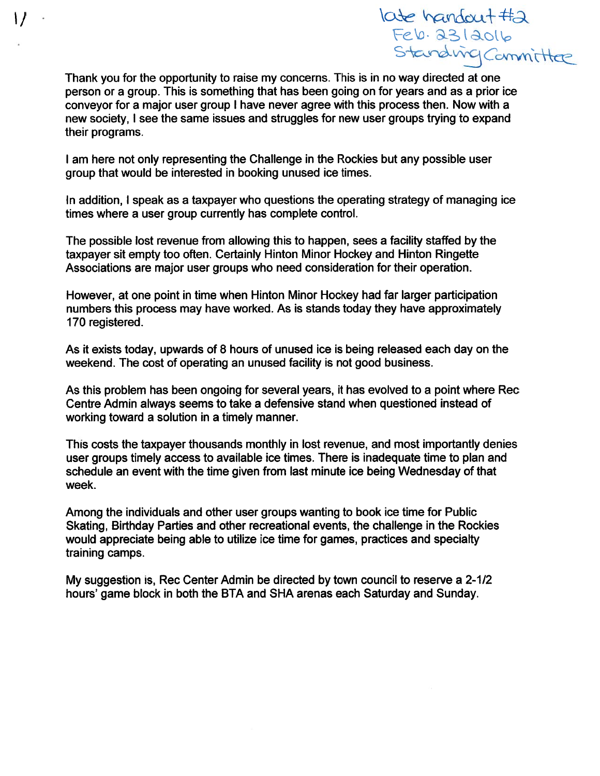$\cot$  handout  $#a$ indiver Committee

Thank you for the opportunity to raise my concerns. This is in no way directed at one person or <sup>a</sup> group. This is something that has been going on for years and as <sup>a</sup> prior ice conveyor for <sup>a</sup> major user group I have never agree with this process then. Now with <sup>a</sup> new society, I see the same issues and struggles for new user groups trying to expand their programs.

I am here not only representing the Challenge in the Rockies but any possible user group that would be interested in booking unused ice times.

In addition, I speak as <sup>a</sup> taxpayer who questions the operating strategy of managing ice times where <sup>a</sup> user group currently has complete control.

The possible lost revenue from allowing this to happen, sees <sup>a</sup> facility staffed by the taxpayer sit empty too often. Certainly Hinton Minor Hockey and Hinton Ringette Associations are major user groups who need consideration for their operation.

However, at one point in time when Hinton Minor Hockey had far larger participation numbers this process may have worked. As is stands today they have approximately 170 registered.

As it exists today, upwards of 8 hours of unused ice is being released each day on the weekend. The cost of operating an unused facility is not good business.

As this problem has been ongoing for several years, it has evolved to <sup>a</sup> point where Rec Centre Admin always seems to take <sup>a</sup> defensive stand when questioned instead of working toward <sup>a</sup> solution in <sup>a</sup> timely manner.

This costs the taxpayer thousands monthly in lost revenue, and most importantly denies user groups timely access to available ice times. There is inadequate time to plan and schedule an event with the time given from last minute ice being Wednesday of that week.

Among the individuals and other user groups wanting to book ice time for Public Skating, Birthday Parties and other recreational events, the challenge in the Rockies would appreciate being able to utilize ice time for games, practices and specialty training camps.

My suggestion is, Rec Center Admin be directed by town council to reserve <sup>a</sup> 2-1/2 hours' game block in both the BTA and SHA arenas each Saturday and Sunday.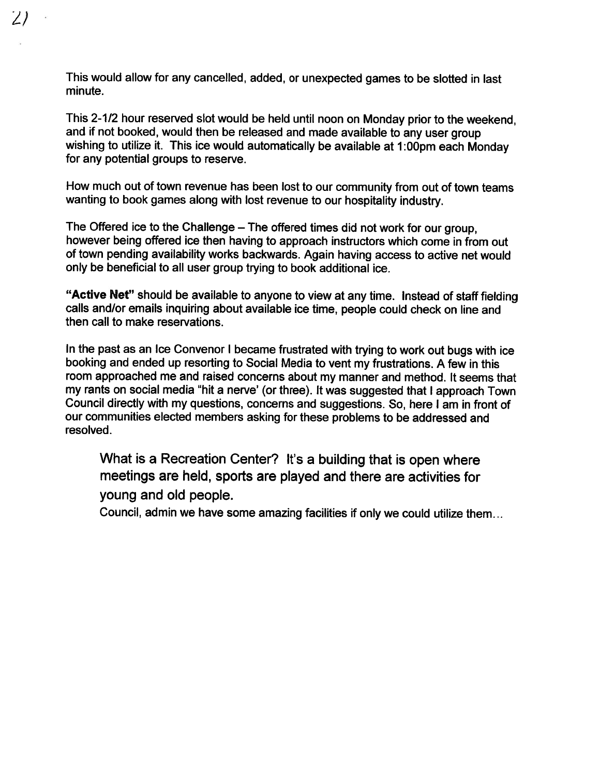This would allow for any cancelled, added, or unexpected games to be slotted in last minute.

 $\angle$ 

This 2-1/2 hour reserved slot would be held until noon on Monday prior to the weekend, and if not booked, would then be released and made available to any user group wishing to utilize it. This ice would automatically be available at 1:00pm each Monday for any potential groups to reserve.

How much out of town revenue has been lost to our community from out of town teams wanting to book games along with lost revenue to our hospitality industry.

The Offered ice to the Challenge — The offered times did not work for our group, however being offered ice then having to approach instructors which come in from out of town pending availability works backwards. Again having access to active net would only be beneficial to all user group trying to book additional ice.

"Active Net" should be available to anyone to view at any time. Instead of staff fielding calls and/or emails inquiring about available ice time, people could check on line and then call to make reservations.

In the past as an Ice Convenor <sup>I</sup> became frustrated with trying to work out bugs with ice booking and ended up resorting to Social Media to vent my frustrations. <sup>A</sup> few in this room approached me and raised concerns about my manner and method. It seems that my rants on social media 'hit <sup>a</sup> nerve' (or three). It was suggested that <sup>I</sup> approach Town Council directly with my questions, concerns and suggestions. So, here <sup>I</sup> am in front of our communities elected members asking for these problems to be addressed and resolved.

What is <sup>a</sup> Recreation Center? It's <sup>a</sup> building that is open where meetings are held, sports are played and there are activities for young and old people.

Council, admin we have some amazing facilities if only we could utilize them...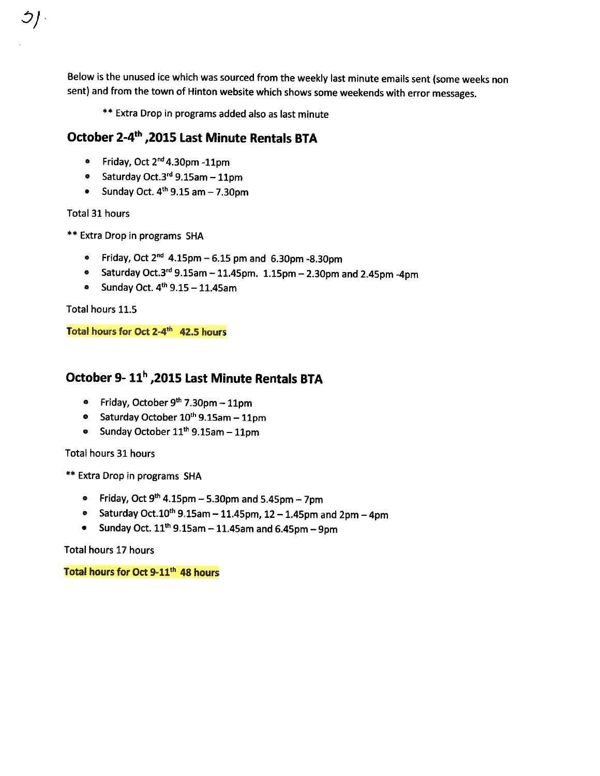Below is the unused ice which was sourced from the weekly last minute emails sent (some weeks non sent) and from the town of Hinton website which shows some weekends with error messages.

\*\* Extra Drop in programs added also as last minute

# October 24th ,<sup>2015</sup> Last Minute Rentals BTA

- Friday, Oct 2''4.3Opm -11pm
- Saturday Oct.3<sup>ra</sup> 9.15am 11pm
- Sunday Oct. 4th 9.15 am 7.3Opm

#### Total 31 hours

 $\mathcal{O}/4$ 

- \*\* Extra Drop in programs SHA
	- Friday, Oct 2<sup>nd</sup> 4.15pm 6.15 pm and 6.30pm -8.30pm
	- Saturday Oct.3<sup>rd</sup> 9.15am 11.45pm. 1.15pm 2.30pm and 2.45pm -4pm
	- Sunday Oct.  $4^{\text{th}}$  9.15 11.45am

Total hours 11.5

Total hours for Oct 2-4<sup>th</sup> 42.5 hours

### October 9- 11" ,2015 Last Minute Rentals BTA

- Friday, October 9<sup>th</sup> 7.30pm 11pm
- Saturday October 10<sup>th</sup> 9.15am 11pm
- Sunday October  $11^{\text{th}}$  9.15am 11pm

Total hours 31 hours

\*\* Extra Drop in programs SHA

- Friday, Oct 9th 4.15pm 5.3Opm and 5.45pm 7pm
- Saturday Oct. $10^{\text{th}}$  9.15am 11.45pm, 12 1.45pm and 2pm 4pm
- Sunday Oct.  $11^{\text{th}}$  9.15am 11.45am and 6.45pm 9pm

Total hours 17 hours

Total hours for Oct 9-11<sup>th</sup> 48 hours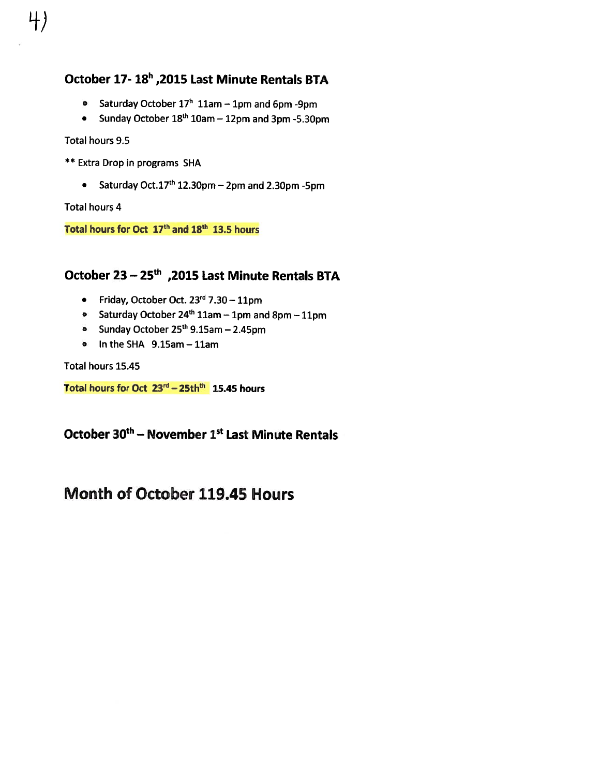# October 17- 18h ,2015 Last Minute Rentals BTA

- Saturday October 17' 11am 1pm and 6pm -9pm
- Sunday October  $18^{\text{th}}$  10am 12pm and 3pm -5.30pm

#### Total hours 9.5

L+)

- \*\* Extra Drop in programs SHA
	- Saturday Oct.l7th 12.3Opm 2pm and 2.3Opm -5pm

Total hours 4

Total hours for Oct 17<sup>th</sup> and 18<sup>th</sup> 13.5 hours

## October 23 - 25<sup>th</sup>, 2015 Last Minute Rentals BTA

- Friday, October Oct. 23<sup>rd</sup> 7.30 11pm
- Saturday October 24<sup>th</sup> 11am 1pm and 8pm 11pm
- Sunday October 25<sup>th</sup> 9.15am 2.45pm
- In the SHA 9.l5am 11am

Total hours 15.45

Total hours for Oct  $23<sup>rd</sup> - 25th<sup>th</sup>$  15.45 hours

October 30th — November 1st Last Minute Rentals

# Month of October 119.45 Hours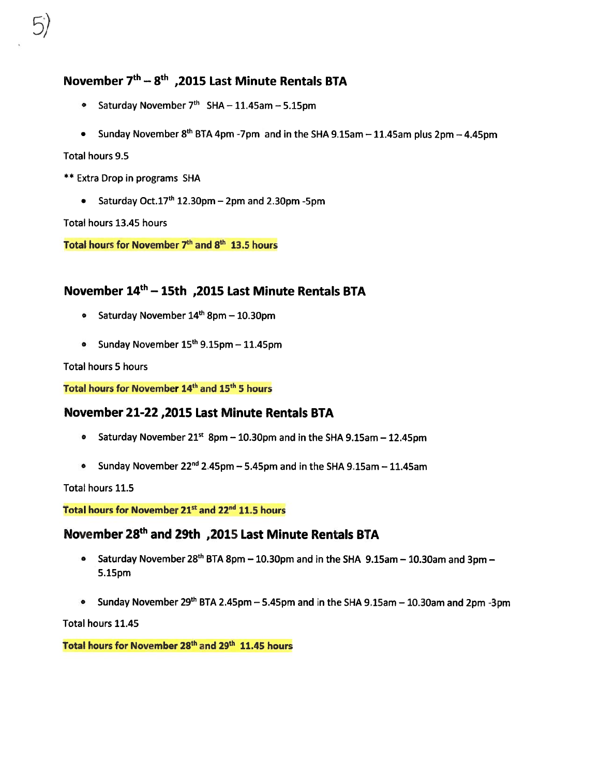## November  $7<sup>th</sup> - 8<sup>th</sup>$ , 2015 Last Minute Rentals BTA

- Saturday November 7<sup>th</sup> SHA 11.45am 5.15pm
- Sunday November 8<sup>th</sup> BTA 4pm -7pm  $\,$  and in the SHA 9.15am 11.45am plus 2pm 4.45pm

Total hours 9.5

- \*\* Extra Drop in programs SHA
	- Saturday Oct.17<sup>th</sup> 12.30pm 2pm and 2.30pm -5pm

Total hours 13.45 hours

Total hours for November 7<sup>th</sup> and 8<sup>th</sup> 13.5 hours

### November 14th — 15th ,2015 Last Minute Rentals ETA

- Saturday November 14<sup>th</sup> 8pm 10.30pm
- Sunday November 15<sup>th</sup> 9.15pm 11.45pm

### Total hours 5 hours

Total hours for November 14<sup>th</sup> and 15<sup>th</sup> 5 hours

### November 21-22,2015 Last Minute Rentals BTA

- Saturday November 21st 8pm  $-$  10.30pm and in the SHA 9.15am  $-$  12.45pm
- Sunday November 22<sup>nd</sup> 2.45pm 5.45pm and in the SHA 9.15am 11.45am

Total hours 11.5

Total hours for November 21<sup>st</sup> and 22<sup>nd</sup> 11.5 hours

## November 28<sup>th</sup> and 29th , 2015 Last Minute Rentals BTA

- Saturday November 28<sup>th</sup> BTA 8pm 10.30pm and in the SHA 9.15am 10.30am and 3pm 5.15pm
- Sunday November 29<sup>th</sup> BTA 2.45pm 5.45pm and in the SHA 9.15am 10.30am and 2pm -3pm

Total hours 11.45

Total hours for November 28<sup>th</sup> and 29<sup>th</sup> 11.45 hours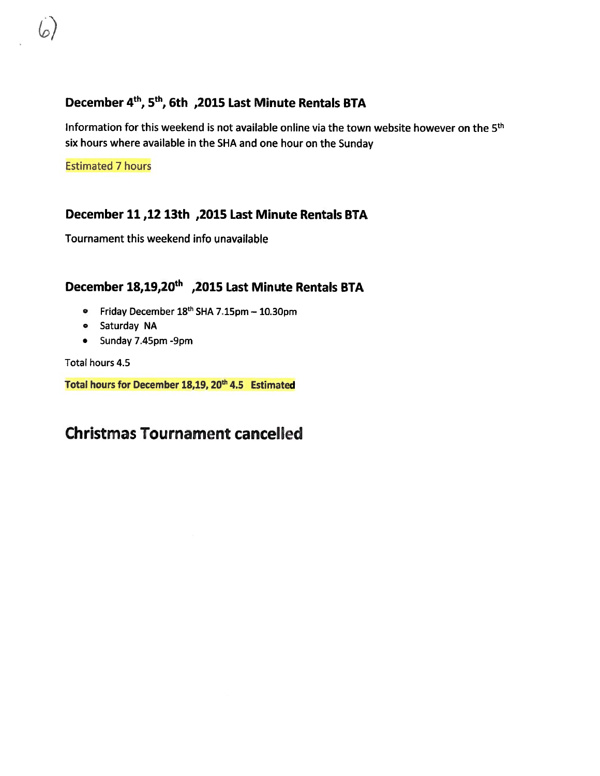## December 4th, 5th, 6th ,2015 Last Minute Rentals BTA

Information for this weekend is not available online via the town website however on the 5th six hours where available in the SHA and one hour on the Sunday

Estimated 7 hours

### December 11 ,12 13th ,2015 Last Minute Rentals BTA

Tournament this weekend info unavailable

# December 18,19,20th ,<sup>2015</sup> Last Minute Rentals BTA

- Friday December 18<sup>th</sup> SHA 7.15pm 10.30pm
- Saturday NA
- Sunday 7.45pm -9pm

Total hours 4.5

Total hours for December 18,19, 20<sup>th</sup> 4.5 Estimated

# Christmas Tournament cancelled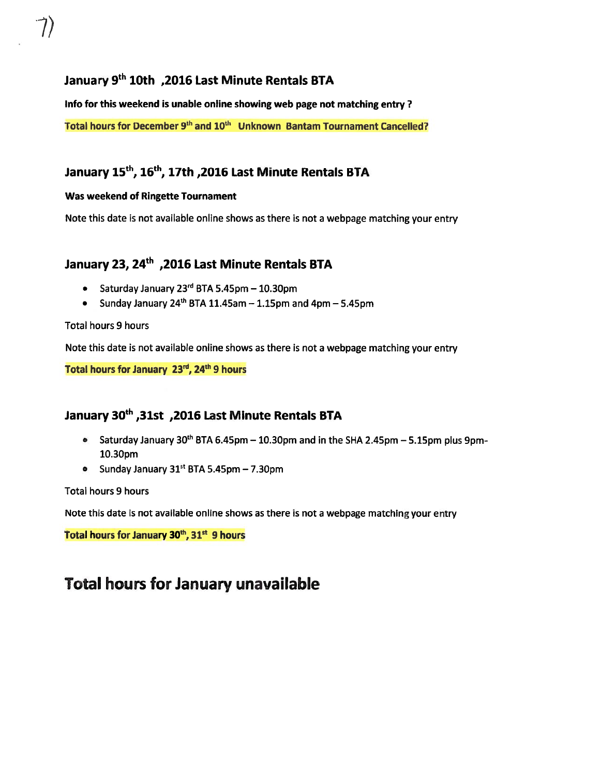## January <sup>g</sup>th 10th ,<sup>2016</sup> Last Minute Rentals ETA

Info for this weekend is unable online showing web page not matching entry? Total hours for December 9<sup>th</sup> and 10<sup>th</sup> Unknown Bantam Tournament Cancelled?

# January 15<sup>th</sup>, 16<sup>th</sup>, 17th, 2016 Last Minute Rentals BTA

### Was weekend of Ringette Tournament

Note this date is not available online shows as there is not <sup>a</sup> webpage matching your entry

## January 23, 24<sup>th</sup>, 2016 Last Minute Rentals BTA

- Saturday January 23″ BTA 5.45pm 10.30pm
- Sunday January 24th BTA 11.45am 1.l5pm and 4pm 5.45pm

#### Total hours 9 hours

Note this date is not available online shows as there is not <sup>a</sup> webpage matching your entry

Total hours for January 23rd, 24th 9 hours

### January 30th ,3lst ,<sup>2016</sup> Last Minute Rentals ETA

- Saturday January 30<sup>th</sup> BTA 6.45pm 10.30pm and in the SHA 2.45pm 5.15pm plus 9pm-1O.3Opm
- Sunday January 31st BTA 5.45pm 7.3Opm

#### Total hours 9 hours

Note this date is not available online shows as there is not <sup>a</sup> webpage matching your entry

Total hours for January 30<sup>th</sup>, 31<sup>st</sup> 9 hours

# Total hours for January unavailable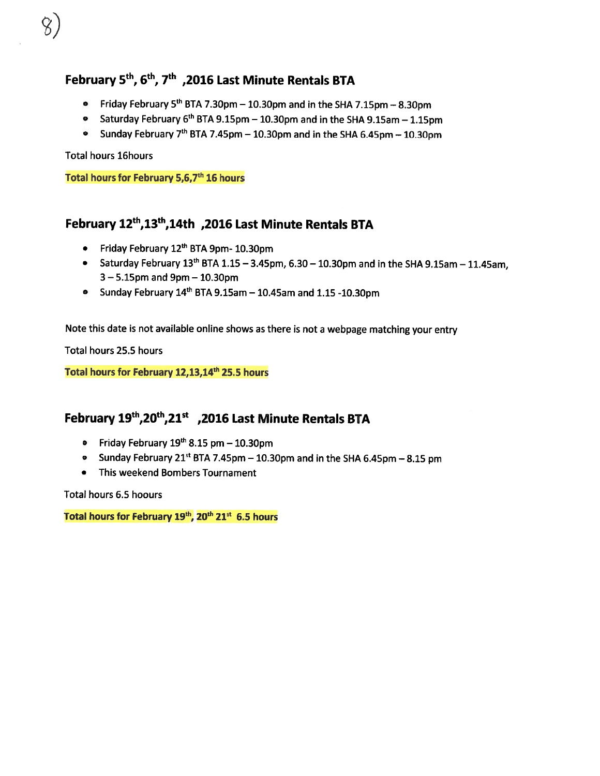## February 5th, 6th, 7th ,<sup>2016</sup> Last Minute Rentals BTA

- Friday February 5th BTA 7.3Opm 1030pm and in the SHA 7.15pm 8.3Opm
- Saturday February 6<sup>th</sup> BTA 9.15pm 10.30pm and in the SHA 9.15am 1.15pm
- Sunday February 7<sup>th</sup> BTA 7.45pm 10.30pm and in the SHA 6.45pm 10.30pm

Total hours l6hours

Total hours for February 5,6,7<sup>th</sup> 16 hours

## February 12<sup>th</sup>,13<sup>th</sup>,14th ,2016 Last Minute Rentals BTA

- Friday February 12<sup>th</sup> BTA 9pm- 10.30pm
- Saturday February 13<sup>th</sup> BTA 1.15 3.45pm, 6.30 10.30pm and in the SHA 9.15am 11.45am, 3— 5.lSpm and 9pm — 10.3Opm
- Sunday February 14th BTA 9.l5am 10.45am and 1.15 -10.3Opm

Note this date is not available online shows as there is not <sup>a</sup> webpage matching your entry

Total hours 25.5 hours

Total hours for February 12,13,14<sup>th</sup> 25.5 hours

## February 19th, 20th, 21st , 2016 Last Minute Rentals BTA

- Friday February 19th 8.15 pm 10.3Opm
- $\bullet$  Gunday February 21st BTA 7.45pm 10.30pm and in the SHA 6.45pm 8.15 pm
- This weekend Bombers Tournament

Total hours 6.5 hoours

Total hours for February 19th, 20th 21st 6.5 hours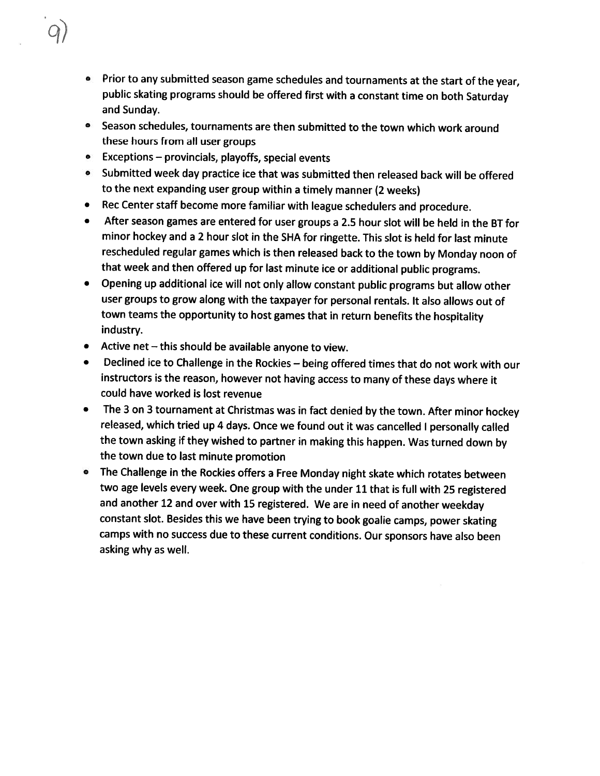- Prior to any submitted season game schedules and tournaments at the start of the year, public skating programs should be offered first with <sup>a</sup> constant time on both Saturday and Sunday.
- Season schedules, tournaments are then submitted to the town which work around these hours from all user groups
- Exceptions provincials, playoffs, special events
- $\bullet$  Submitted week day practice ice that was submitted then released back will be offered to the next expanding user group within <sup>a</sup> timely manner (2 weeks)
- •Rec Center staff become more familiar with league schedulers and procedure.
- $\bullet$  After season games are entered for user groups <sup>a</sup> 2.5 hour slot will be held in the BT for minor hockey and <sup>a</sup> <sup>2</sup> hour slot in the SHA for ringette. This slot is held for last minute rescheduled regular games which is then released back to the town by Monday noon of that week and then offered up for last minute ice or additional public programs.
- $\bullet$  Opening up additional ice will not only allow constant public programs but allow other user groups to grow along with the taxpayer for personal rentals. It also allows out of town teams the opportunity to host games that in return benefits the hospitality industry.
- Active net this should be available anyone to view.
- • Declined ice to Challenge in the Rockies — being offered times that do not work with our instructors is the reason, however not having access to many of these days where it could have worked is lost revenue
- $\bullet$  The <sup>3</sup> on <sup>3</sup> tournament at Christmas was in fact denied by the town. After minor hockey released, which tried up <sup>4</sup> days. Once we found out it was cancelled <sup>I</sup> personally called the town asking if they wished to partner in making this happen. Was turned down by the town due to last minute promotion
- The Challenge in the Rockies offers <sup>a</sup> Free Monday night skate which rotates between two age levels every week. One group with the under <sup>11</sup> that is full with <sup>25</sup> registered and another <sup>12</sup> and over with <sup>15</sup> registered. We are in need of another weekday constant slot. Besides this we have been trying to book goalie camps, power skating camps with no success due to these current conditions. Our sponsors have also been asking why as well.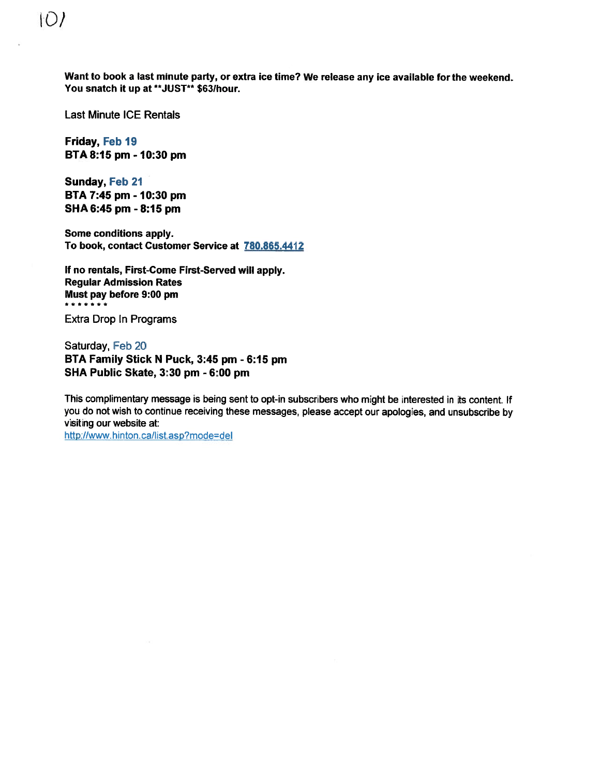Want to book <sup>a</sup> last minute party, or extra ice time? We release any ice available for the weekend. You snatch it up at \*\*JUST\*\* \$63/hour.

Last Minute ICE Rentals

Friday, Feb 19 ETA 8:15 pm - 10:30 pm

Sunday, Feb 21 ETA 7:45 pm - 10:30 pm SHA 6:45 pm - 8:15 pm

Some conditions apply. To book, contact Customer Service at 780.865.4412

If no rentals, First-Come First-Served will apply. Regular Admission Rates Must pay before 9:00 pm \*\*\*\*\*\*\*

Extra Drop In Programs

Saturday, Feb 20 ETA Family Stick <sup>N</sup> Puck, 3:45 pm - 6:15 pm SHA Public Skate, 3:30 pm - 6:00 pm

This complimentary message is being sent to opt-in subscribers who might be interested in its content. If you do not wish to continue receiving these messages, <sup>p</sup>lease accep<sup>t</sup> our apologies, and unsubscribe by visiting our website at:

http://www.hinton.ca/list.asp?mode=del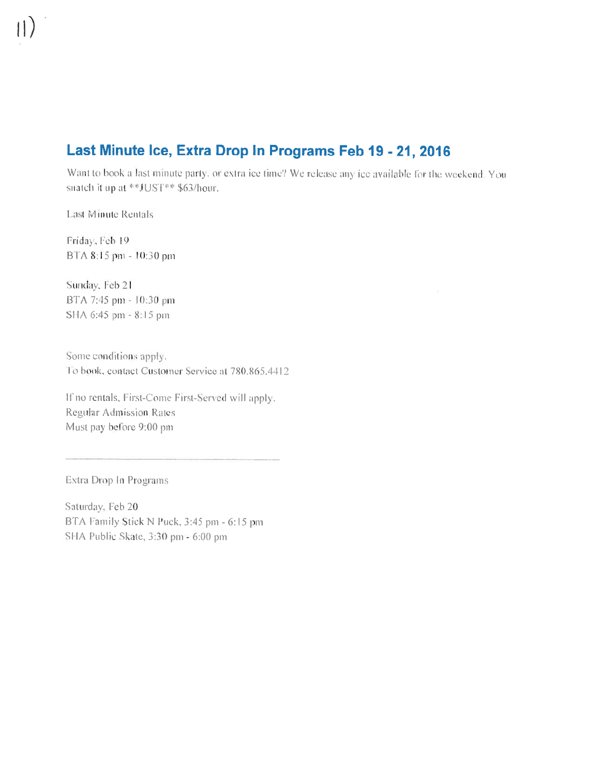# Last Minute Ice, Extra Drop In Programs Feb 19 - 21, 2016

Want to book a last minute party, or extra ice time? We release any ice available for the weekend. You snatch it up at \*\*JUST\*\* \$63/hour.

Last Minute Rentals

Friday, Feb 19 BTA 8:15 pm - 10:30 pm

Sunday, Feb 21 BTA 7:45 pm - 10:30 pm SHA 6:45 pm = 8:15 pm

Some conditions apply. To book, contact Customer Service at 780.865.4412

If no rentals, First-Come First-Served will apply. **Regular Admission Rates** Must pay before 9:00 pm

Extra Drop In Programs

Saturday, Feb 20 BTA Family Stick N Puck, 3:45 pm - 6:15 pm SHA Public Skate, 3:30 pm - 6:00 pm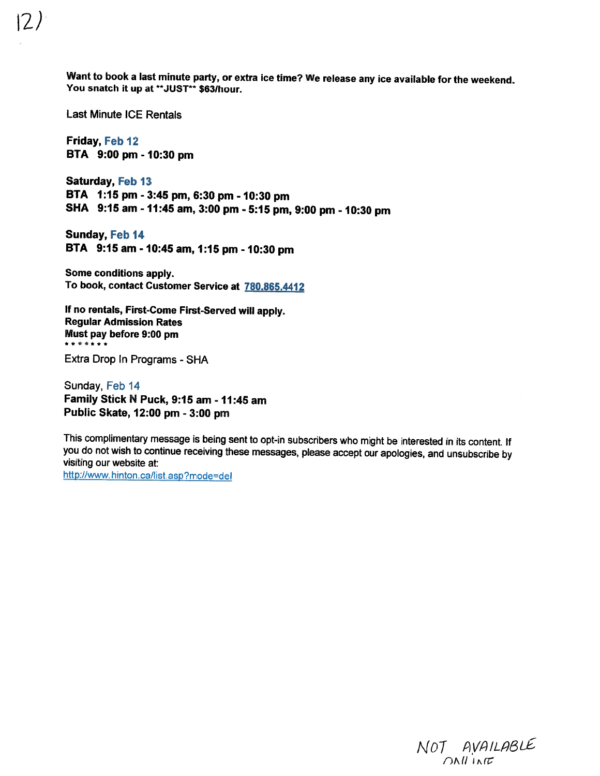Want to book a last minute party, or extra ice time? We release any ice available for the weekend. You snatch it up at \*\*JUST\*\* \$63/hour.

Last Minute ICE Rentals

Friday, Feb 12 ETA 9:00 pm - 10:30 pm

Saturday, Feb 13 ETA 1:15 pm - 3:45 pm, 6:30 pm - 10:30 pm SHA 9:15 am - 11:45 am, 3:00 pm - 5:15 pm, 9:00 pm - 10:30 pm

Sunday, Feb 14 ETA 9:15 am - 10:45 am, 1:15 pm - 10:30 pm

Some conditions apply. To book, contact Customer Service at 780.865.4412

If no rentals, First-Come First-Served will apply. Regular Admission Rates Must pay before 9:00 pm \*\*\*\*\*\*\*

Extra Drop In Programs - SHA

Sunday, Feb 14 Family Stick N Puck, 9:15 am - 11:45 am Public Skate, 12:00 pm - 3:00 pm

This complimentary message is being sent to opt-in subscribers who might be interested in its content. If you do not wish to continue receiving these messages, <sup>p</sup>lease accept our apologies, and unsubscribe by visiting our website at:

http://www.hinton.ca/list.asp?mode=del

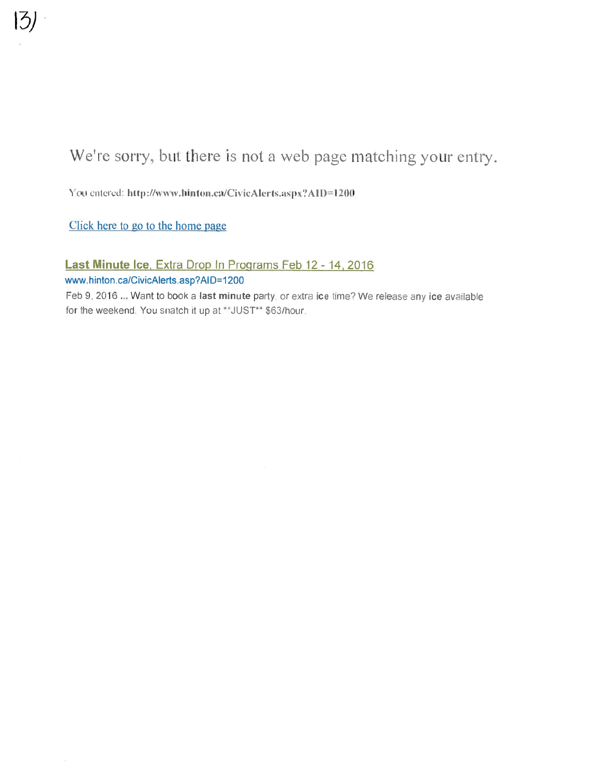You entered: http://www.hinton.ca/CivicAlerts.aspx?AID=1200

Click here to go to the home page

Last Minute Ice, Extra Drop In Programs Feb 12 - 14, 2016 www.hinton.ca/CivicAlerts.asp?AID=1200

Feb 9, 2016 ... Want to book a last minute party, or extra ice time? We release any ice available for the weekend. You snatch it up at \*\*JUST\*\* \$63/hour.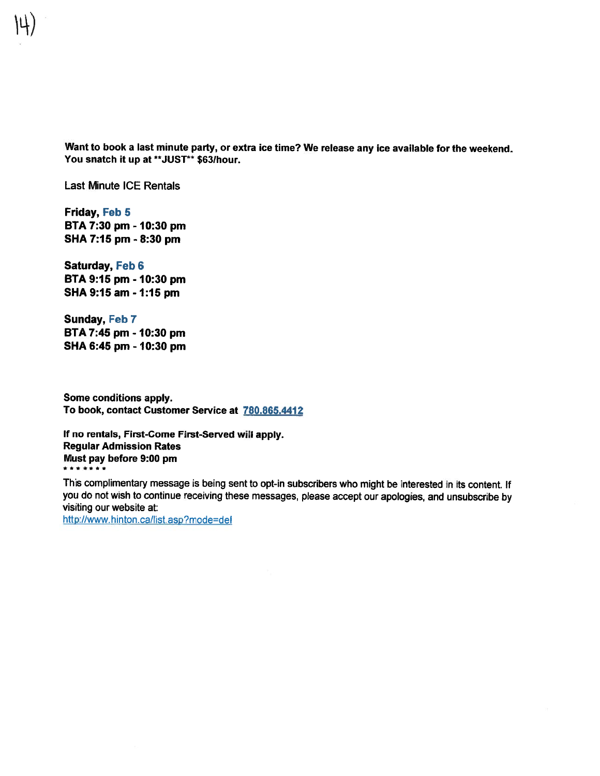Want to book <sup>a</sup> last minute party, or extra ice time? We release any ice available for the weekend. You snatch it up at \*\*JUST\*\* \$63/hour.

Last Minute ICE Rentals

Friday, Feb 5 BTA 7:30 pm - 10:30 pm SHA 7:15 pm - 8:30 pm

Saturday, Feb 6 BTA 9:15 pm - 10:30 pm SHA 9:15 am - 1:15 pm

Sunday, Feb 7 ETA 7:45 pm - 1 0:30 pm SHA 6:45 pm - 10:30 pm

Some conditions apply. To book, contact Customer Service at 780.865.4412

If no rentals, First-Come First-Served will apply. Regular Admission Rates Must pay before 9:00 pm \*\*\*\*\*\*\*

This complimentary message is being sent to opt-in subscribers who might be interested in its content. If you do not wish to continue receiving these messages, <sup>p</sup>lease accep<sup>t</sup> our apologies, and unsubscribe by visiting our website at:

http://www.hinton.ca/list.asp?mode=del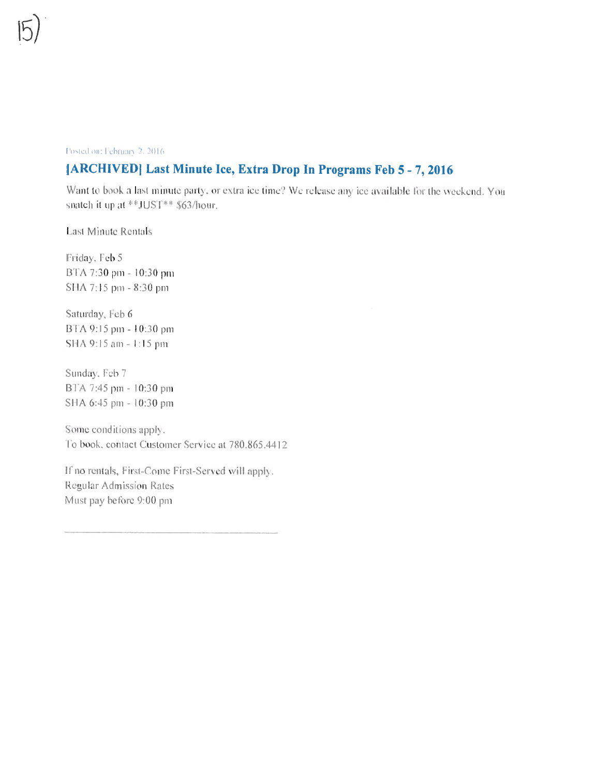#### Posted on: February 2, 2016.

## [ARCHIVED] Last Minute Ice, Extra Drop In Programs Feb 5 - 7, 2016

Want to book a last minute party, or extra ice time? We release any ice available for the weekend. You snatch it up at \*\*JUST\*\* \$63/hour.

**Last Minute Rentals** 

Friday, Feb 5 BTA 7:30 pm - 10:30 pm SHA 7:15 pm - 8:30 pm

Saturday, Feb 6 BTA 9:15 pm - 10:30 pm SHA 9:15 am - 1:15 pm

Sunday, Feb 7 BTA 7:45 pm = 10:30 pm SHA 6:45 pm - 10:30 pm

Some conditions apply. To book, contact Customer Service at 780.865.4412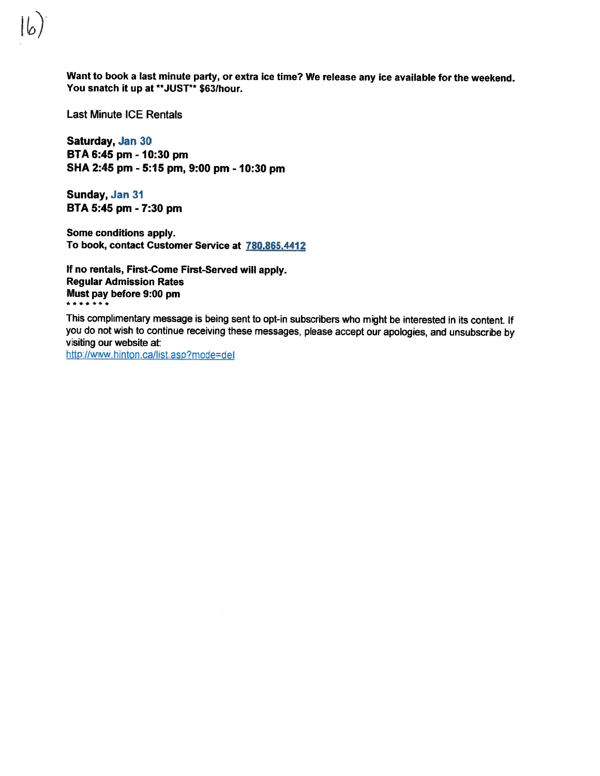Last Minute ICE Rentals

Saturday, Jan 30 BTA 6:45 pm - 10:30 pm SHA 2:45 pm - 5:15 pm, 9:00 pm - 10:30 pm

Sunday, Jan 31 BTA 5:45 pm - 7:30 pm

Some conditions apply. To book, contact Customer Service at 780.865.4412

If no rentals, First-Come First-Served will apply. Regular Admission Rates Must pay before 9:00 pm \*\*\*\*\*\*\*

This complimentary message is being sent to opt-in subscribers who might be interested in its content. If you do not wish to continue receiving these messages, <sup>p</sup>lease accep<sup>t</sup> our apologies, and unsubscribe by visiting our website at:

http://www.hinton.ca/list.asp?mode=del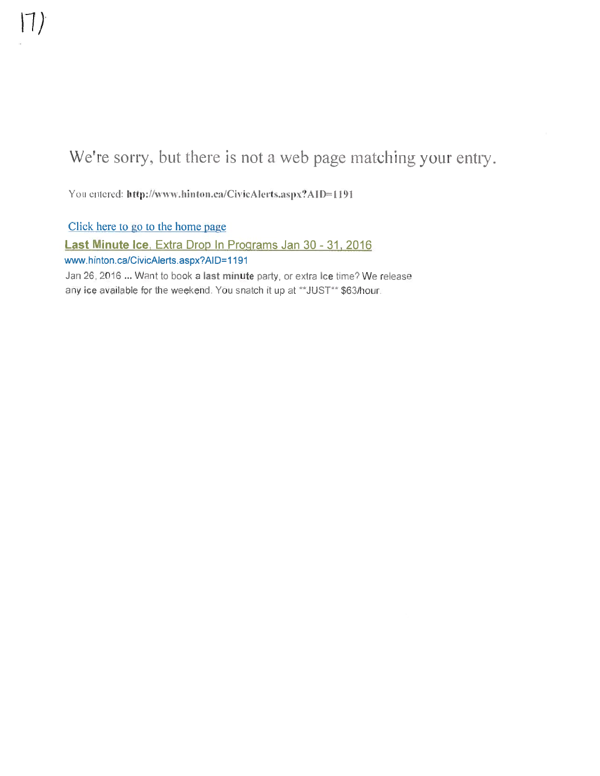You entered: http://www.hinton.ca/CivicAlerts.aspx?AID=1191

Click here to go to the home page Last Minute Ice, Extra Drop In Programs Jan 30 - 31, 2016 www.hinton.ca/CivicAlerts.aspx?AID=1191 Jan 26, 2016 ... Want to book a last minute party, or extra ice time? We release any ice available for the weekend. You snatch it up at \*\* JUST\*\* \$63/hour.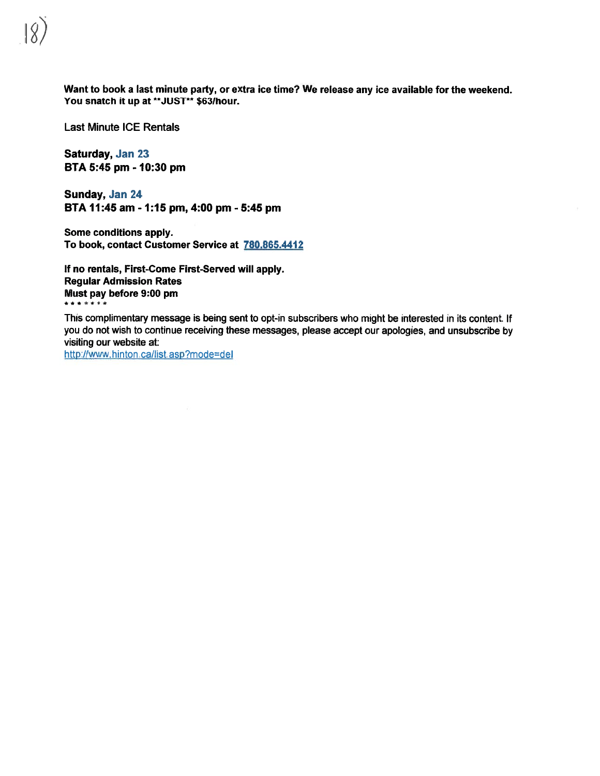Want to book <sup>a</sup> last minute party, or extra ice time? We release any ice available for the weekend. You snatch it up at \*\*JUST\*\* \$63/hour.

Last Minute ICE Rentals

Saturday, Jan 23 BTA 5:45 pm - 10:30 pm

Sunday, Jan <sup>24</sup> BTA 11:45 am - 1:15 pm, 4:00 pm - 5:45 pm

Some conditions apply. To book, contact Customer Service at 780.865.4412

If no rentals, First-Come First-Served will apply. Regular Admission Rates Must pay before  $9:00$  pm

This complimentary message is being sent to opt-in subscribers who might be interested in its content. If you do not wish to continue receiving these messages, <sup>p</sup>lease accep<sup>t</sup> our apologies, and unsubscribe by visiting our website at:

http://www.hinton.ca/list.asp?mode=del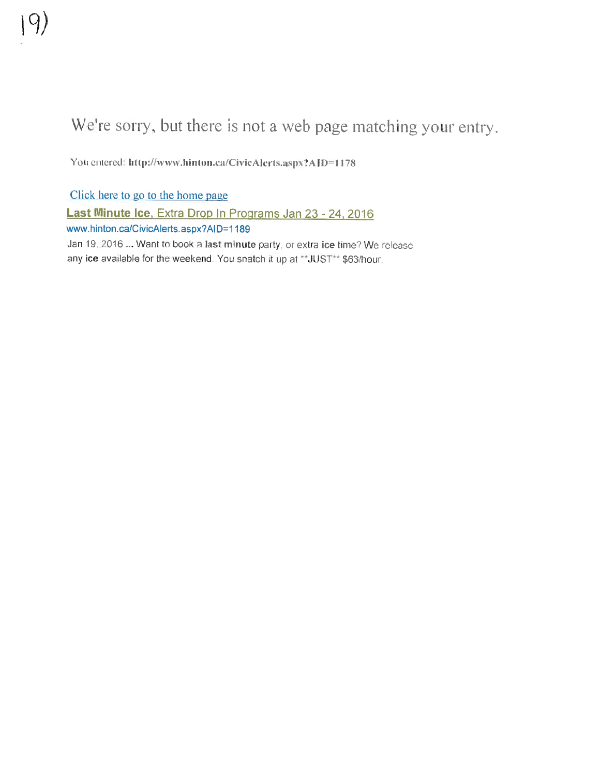You entered: http://www.hinton.ca/CivicAlerts.aspx?AID=1178

Click here to go to the home page Last Minute Ice, Extra Drop In Programs Jan 23 - 24, 2016 www.hinton.ca/CivicAlerts.aspx?AID=1189 Jan 19, 2016 ... Want to book a last minute party, or extra ice time? We release any ice available for the weekend. You snatch it up at \*\*JUST\*\* \$63/hour.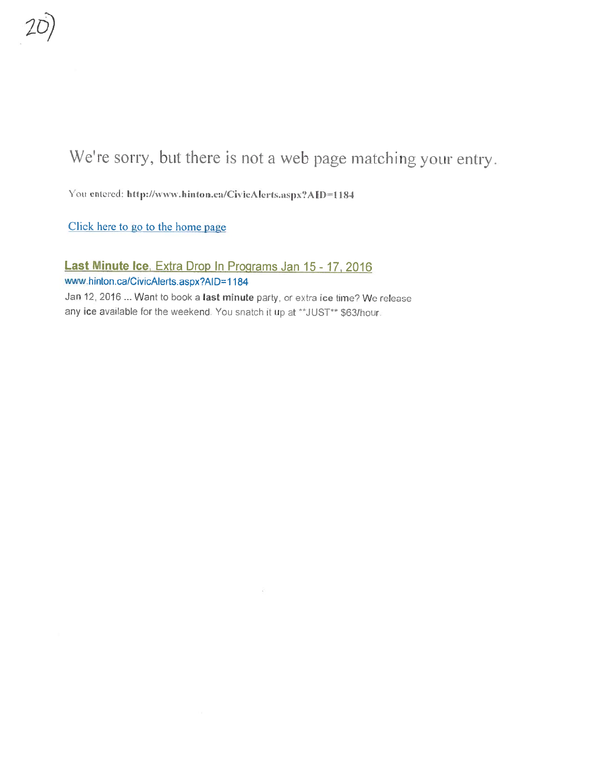You entered: http://www.hinton.ca/CivicAlerts.aspx?AID=1184

Click here to go to the home page

Last Minute Ice, Extra Drop In Programs Jan 15 - 17, 2016 www.hinton.ca/CivicAlerts.aspx?AID=1 184

Jan 12, 2016 ... Want to book a last minute party, or extra ice time? We release any ice available for the weekend. You snatch it up at \*\*JUST\*\* \$63/hour.

- 31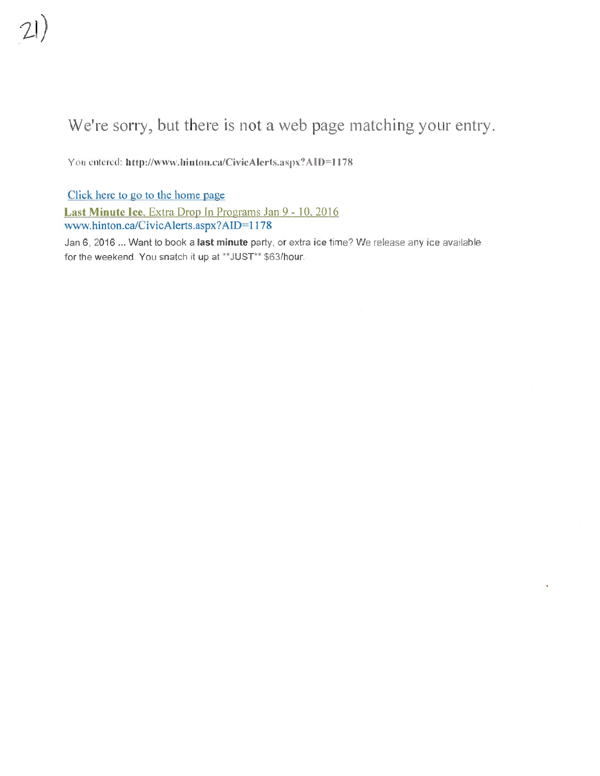You entered: http://www.hinton.ca/CivicAlerts.aspx?AID=1178

Click here to go to the home page Last Minute Ice, Extra Drop In Programs Jan 9 - 10, 2016 www.hinton.ca/CivicAlerts.aspx?AID=1178

Jan 6, 2016 ... Want to book a last minute party, or extra ice time? We release any ice available for the weekend. You snatch it up at \*\* JUST\*\* \$63/hour.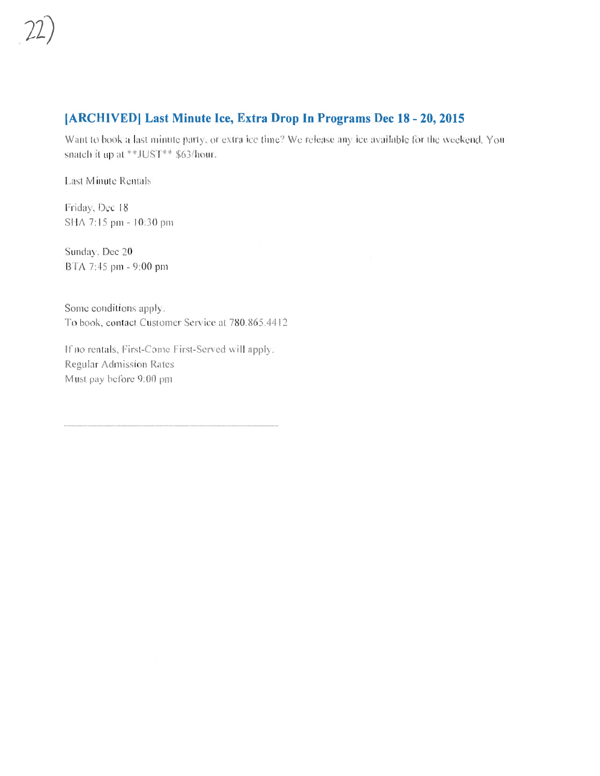### [ARCHIVED] Last Minute Ice, Extra Drop In Programs Dec 18 - 20, 2015

Want to book a last minute party, or extra ice time? We release any ice available for the weekend. You snatch it up at \*\*JUST\*\* \$63/hour.

**Last Minute Rentals** 

Friday, Dec 18 SHA 7:15 pm = 10:30 pm

Sunday, Dec 20 BTA 7:45 pm - 9:00 pm

Some conditions apply. To book, contact Customer Service at 780,865,4412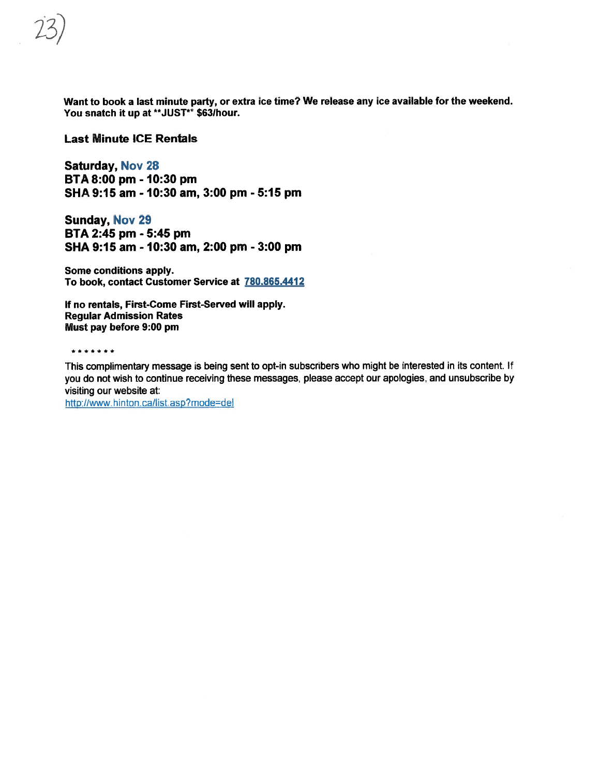Want to book <sup>a</sup> last minute party, or extra ice time? We release any ice available for the weekend. You snatch it up at \*\*JUST\*\* \$63/hour.

### Last Minute ICE Rentals

Saturday, Nov 28 BTA 8:00 pm - 10:30 pm SHA 9:15 am - 10:30 am, 3:00 pm - 5:15 pm

Sunday, Nov 29 BTA 2:45 pm - 5:45 pm SHA 9:15 am - 10:30 am, 2:00 pm - 3:00 pm

Some conditions apply. To book, contact Customer Service at 780.865.4412

If no rentals, First-Come First-Served will apply. Regular Admission Rates Must pay before 9:00 pm

\*\*\*\*\*\*\*

This complimentary message is being sent to opt-in subscribers who might be interested in its content. If you do not wish to continue receiving these messages, <sup>p</sup>lease accep<sup>t</sup> our apologies, and unsubscribe by visiting our website at:

http://www.hinton.ca/Iist asp?mode=deI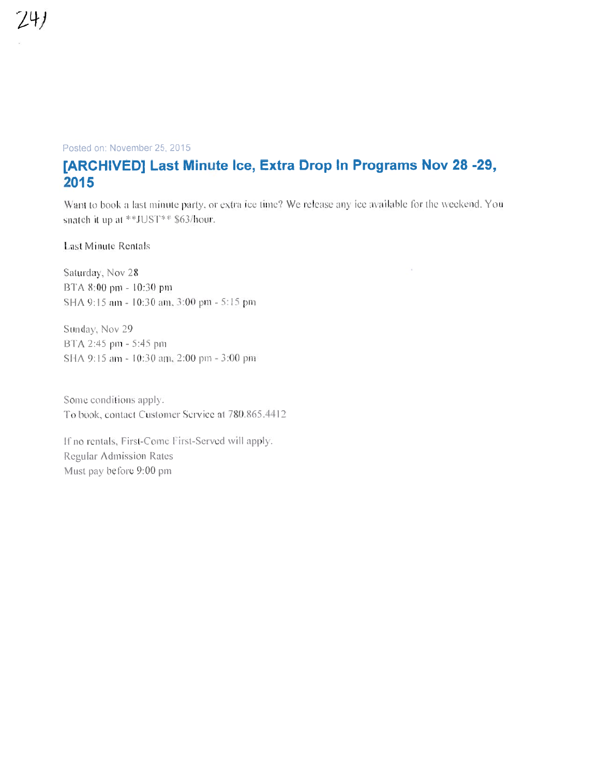### Posted on: November 25, 2015

741

# [ARCHIVED] Last Minute Ice, Extra Drop In Programs Nov 28 -29, 2015

Want to book a last minute party, or extra ice time? We release any ice available for the weekend. You snatch it up at \*\*JUST\*\* \$63/hour.

**Last Minute Rentals** 

Saturday, Nov 28 BTA 8:00 pm - 10:30 pm SHA 9:15 am - 10:30 am, 3:00 pm - 5:15 pm

Sunday, Nov 29 BTA 2:45 pm - 5:45 pm SHA 9:15 am - 10:30 am, 2:00 pm - 3:00 pm

Some conditions apply. To book, contact Customer Service at 780.865.4412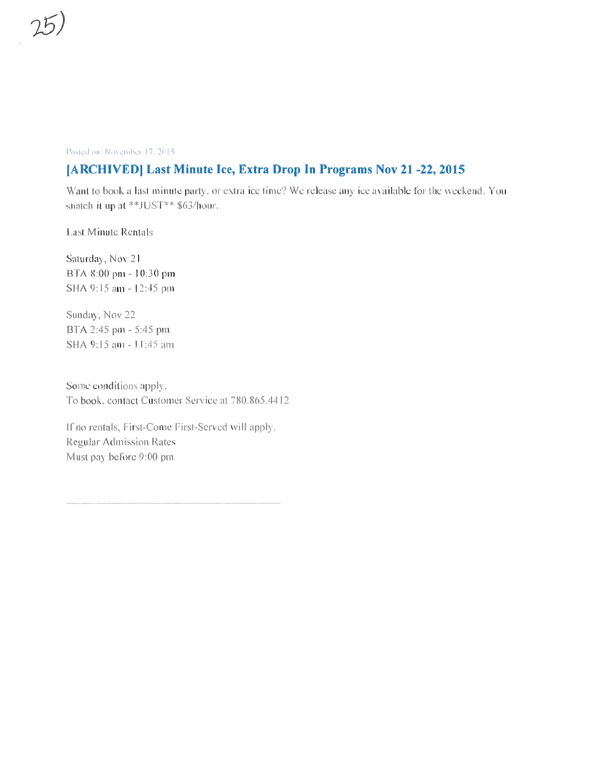### Posted on: November 17, 2015

## [ARCHIVED] Last Minute Ice, Extra Drop In Programs Nov 21-22, 2015

Want to book a last minute party, or extra ice time? We release any ice available for the weekend. You snatch it up at \*\*JUST\*\* \$63/hour.

**Last Minute Rentals** 

Saturday, Nov 21 BTA 8:00 pm - 10:30 pm SHA 9:15 am - 12:45 pm

Sunday, Nov 22 BTA 2:45 pm - 5:45 pm SHA 9:15 am - 11:45 am

Some conditions apply. To book, contact Customer Service at 780.865.4412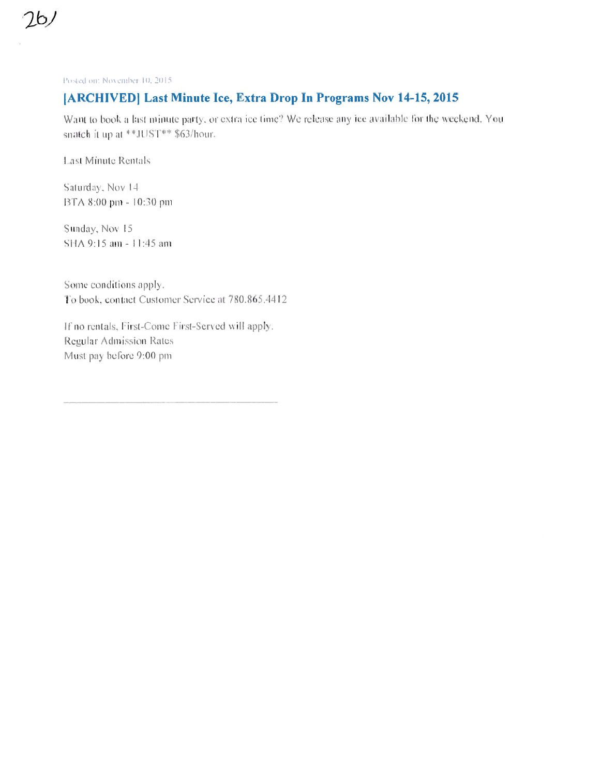Posted on: November:10, 2015

 $\mathcal{D}$ 

### [ARCHIVED] Last Minute Ice, Extra Drop In Programs Nov 14-15, 2015

Want to book a last minute party, or extra ice time? We release any ice available for the weekend. You snatch it up at \*\*JUST\*\* \$63/hour.

Last Minute Rentals<sup>®</sup>

Saturday, Nov 14 BTA 8:00 pm - 10:30 pm

Sunday, Nov 15 SHA 9:15 am - 11:45 am

Some conditions apply. To book, contact Customer Service at 780.865.4412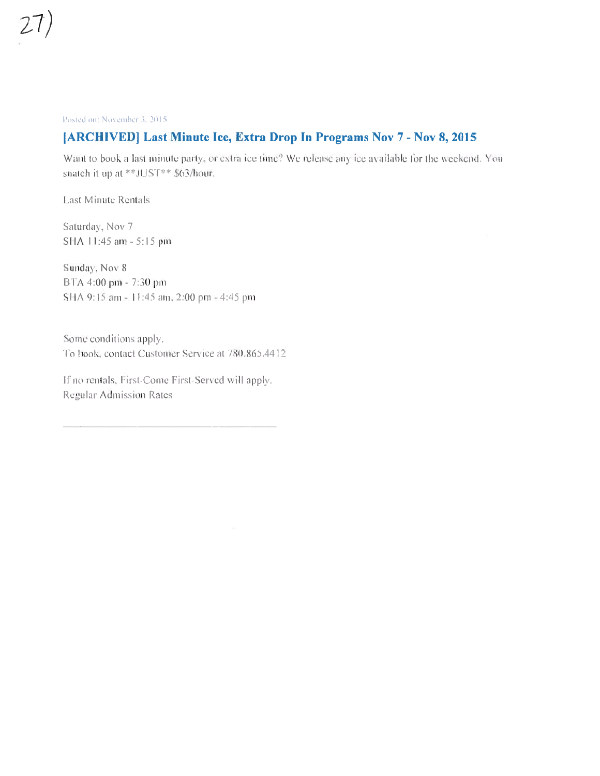Posted on: November 3, 2015

### [ARCHIVED] Last Minute Ice, Extra Drop In Programs Nov 7 - Nov 8, 2015

Want to book a last minute party, or extra ice time? We release any ice available for the weekend. You snatch it up at \*\*JUST\*\* \$63/hour.

Last Minute Rentals

Saturday, Nov 7 SHA 11:45 am - 5:15 pm

Sunday, Nov 8 BTA 4:00 pm - 7:30 pm SHA 9:15 am - 11:45 am, 2:00 pm - 4:45 pm

Some conditions apply. To book, contact Customer Service at 780.865.4412

If no rentals, First-Come First-Served will apply. **Regular Admission Rates**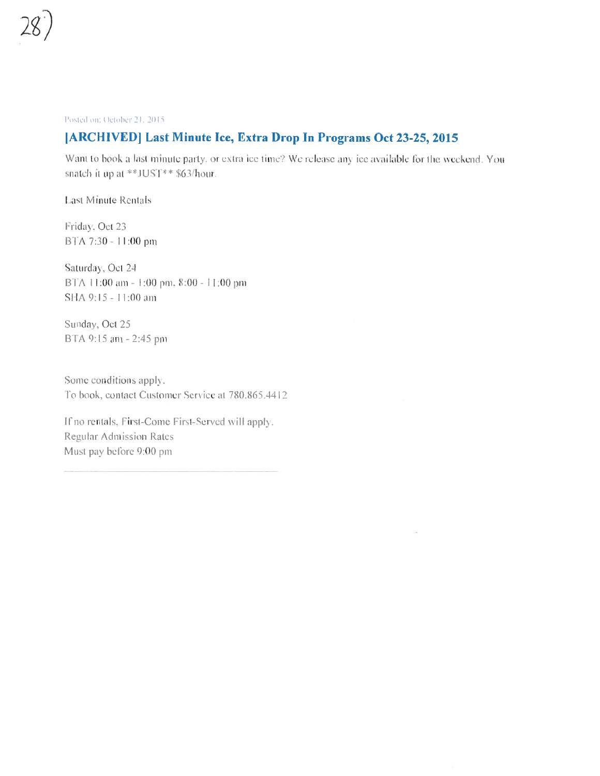

Posted on: October 21, 2015.

## [ARCHIVED] Last Minute Ice, Extra Drop In Programs Oct 23-25, 2015

Want to book a last minute party, or extra ice time? We release any ice available for the weekend. You snatch it up at \*\*JUS'I\*\* \$63/hour.

ja.

**Last Minute Rentals** 

Friday, Oct 23 BTA 7:30 - 11:00 pm

Saturday, Oct 24. BTA 11:00 am = 1:00 pm, 8:00 - 11:00 pm SHA 9:15 - 11:00 am

Sunday, Oct 25 BTA 9:15 am - 2:45 pm

Some conditions apply. To book, contact Customer Service at 780.865.4412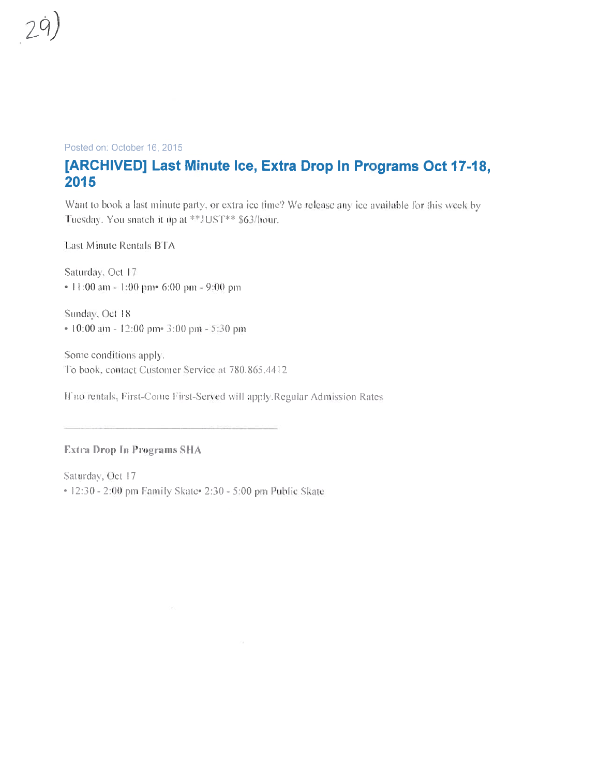### Posted on: October 16, 2015

# [ARCHIVED] Last Minute Ice, Extra Drop In Programs Oct 17-18, 2015

Want to book a last minute party, or extra ice time? We release any ice available for this week by Tuesday. You snatch it up at \*\*JUST\*\* \$63/hour.

Last Minute Rentals BTA

Saturday, Oct 17 • 11:00 am - 1:00 pm 6:00 pm - 9:00 pm

Sunday, Oct 18 • 10:00 am - 12:00 pm · 3:00 pm - 5:30 pm

Some conditions apply. To book, contact Customer Service at 780.865.4412

If no rentals, First-Come First-Served will apply.Regular Admission Rates

### Extra Drop In Programs SHA

Saturday, Oct 17 • 12:30 - 2:00 pm Family Skate 2:30 - 5:00 pm Public Skate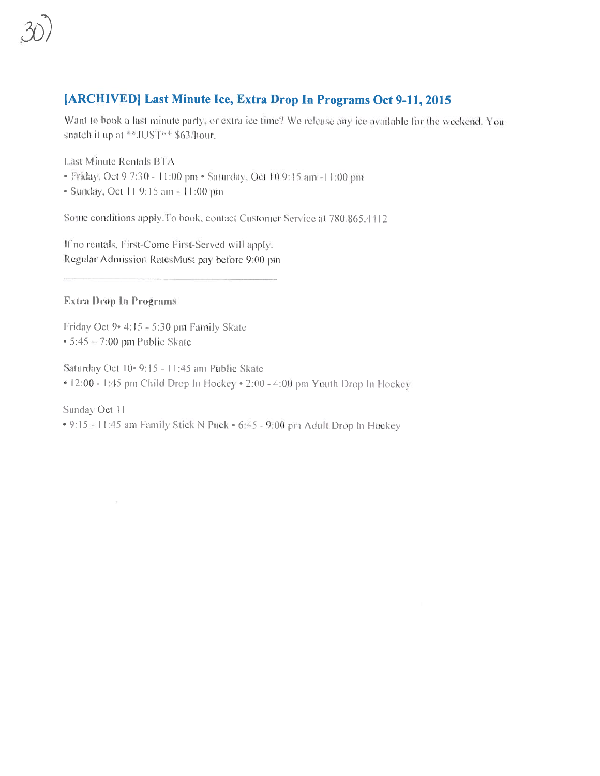# [ARCHIVED] Last Minute Ice, Extra Drop In Programs Oct 9-11, 2015

Want to book a last minute party, or extra ice time? We release any ice available for the weekend. You snatch it up at \*\*JUST\*\* \$63/hour.

Last Minute Rentals BTA

- · Friday, Oct 9 7:30 11:00 pm · Saturday, Oct 10 9:15 am -11:00 pm
- Sunday, Oct 11 9:15 am = 11:00 pm

Some conditions apply. To book, contact Customer Service at 780.865.4412

If no rentals, First-Come First-Served will apply. Regular Admission RatesMust pay before 9:00 pm

### Extra Drop In Programs

Friday Oct 9  $4:15 = 5:30$  pm Family Skate  $\cdot$  5:45 = 7:00 pm Public Skate

Saturday Oct 10-9:15 - 11:45 am Public Skate  $\approx 12:00 - 1:45$  pm Child Drop In Hockey  $\cdot 2:00 - 4:00$  pm Youth Drop In Hockey

Sunday Oct 11 • 9:15 - 11:45 am Family Stick N Puck • 6:45 - 9:00 pm Adult Drop In Hockey